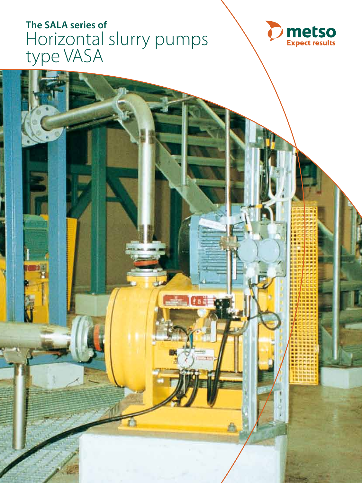# **The SALA series of**  Horizontal slurry pumps type VASA

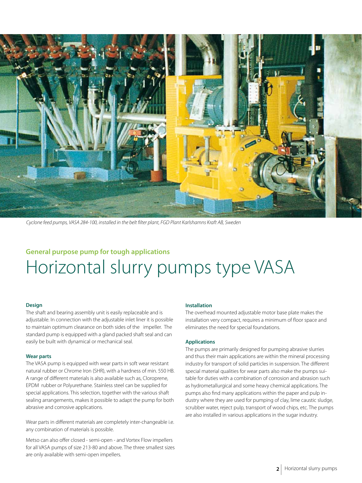

*Cyclone feed pumps, VASA 284-100, installed in the belt filter plant, FGD Plant Karlshamns Kraft AB, Sweden*

## **General purpose pump for tough applications** Horizontal slurry pumps type VASA

#### **Design**

The shaft and bearing assembly unit is easily replaceable and is adjustable. In connection with the adjustable inlet liner it is possible to maintain optimum clearance on both sides of the impeller. The standard pump is equipped with a gland packed shaft seal and can easily be built with dynamical or mechanical seal.

#### **Wear parts**

The VASA pump is equipped with wear parts in soft wear resistant natural rubber or Chrome Iron (SHR), with a hardness of min. 550 HB. A range of different materials is also available such as, Cloroprene, EPDM rubber or Polyurethane. Stainless steel can be supplied for special applications. This selection, together with the various shaft sealing arrangements, makes it possible to adapt the pump for both abrasive and corrosive applications.

Wear parts in different materials are completely inter-changeable i.e. any combination of materials is possible.

Metso can also offer closed - semi-open - and Vortex Flow impellers for all VASA pumps of size 213-80 and above. The three smallest sizes are only available with semi-open impellers.

#### **Installation**

The overhead mounted adjustable motor base plate makes the installation very compact, requires a minimum of floor space and eliminates the need for special foundations.

#### **Applications**

The pumps are primarily designed for pumping abrasive slurries and thus their main applications are within the mineral processing industry for transport of solid particles in suspension. The different special material qualities for wear parts also make the pumps suitable for duties with a combination of corrosion and abrasion such as hydrometallurgical and some heavy chemical applications. The pumps also find many applications within the paper and pulp industry where they are used for pumping of clay, lime caustic sludge, scrubber water, reject pulp, transport of wood chips, etc. The pumps are also installed in various applications in the sugar industry.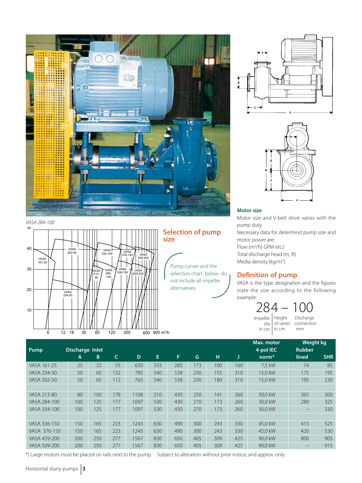

 $\mathsf{m}$  $40$ 30 20  $10$  $6$   $12$   $18$   $30$   $60$   $120$   $300$   $600$   $900$   $\text{m}^3/\text{h}$ VAS/ 376-150 VASA 459-200 VASA 509-200 VASA<br>302-50 VASA<br>234-50 VASA<br>161-25 VASA 213 80 VASA 334-100 VASA<br>-284<br>-100 VAS/ 336-150 *VASA 284-100*

### **Selection of pump size**

Pump curves and the selection chart below do not include all impeller alternatives.



### **Motor size**

Motor size and V-belt drive varies with the pump duty. Necessary data for determind pump size and motor power are: Flow (m3 /h) GPM etc.) Total discharge head (m, ft) Media density (kg/m<sup>3</sup>)

### **Definition of pump**

VASA is the type designation and the figures state the size according to the following example:

> in cm  $\vert$  in cm mm Impeller dia 284 -

Height Discharge of vanes connection

|              |                 |     |     |      |     |     |     |     |     | Max. motor | Weight kg                |            |
|--------------|-----------------|-----|-----|------|-----|-----|-----|-----|-----|------------|--------------------------|------------|
| Pump         | Discharge Inlet |     |     |      |     |     |     |     |     | 4-pol IEC  | <b>Rubber</b>            |            |
|              | A               | B   | C   | D    | E.  | F   | G   | н   | J   | $norm*$    | lined                    | <b>SHR</b> |
| VASA 161-25  | 25              | 32  | 55  | 650  | 333 | 285 | 173 | 100 | 160 | 7.5 kW     | 74                       | 85         |
| VASA 234-50  | 50              | 65  | 132 | 785  | 540 | 538 | 230 | 155 | 310 | 15.0 kW    | 175                      | 195        |
| VASA 302-50  | 50              | 65  | 112 | 765  | 540 | 538 | 230 | 180 | 310 | 15.0 kW    | 195                      | 230        |
|              |                 |     |     |      |     |     |     |     |     |            |                          |            |
| VASA 213-80  | 80              | 100 | 178 | 1108 | 510 | 430 | 250 | 141 | 260 | 30.0 kW    | 265                      | 300        |
| VASA 284-100 | 100             | 125 | 177 | 1097 | 530 | 430 | 270 | 173 | 260 | 30.0 kW    | 280                      | 325        |
| VASA 334-100 | 100             | 125 | 177 | 1097 | 530 | 430 | 270 | 173 | 260 | 30.0 kW    | $\overline{\phantom{0}}$ | 330        |
|              |                 |     |     |      |     |     |     |     |     |            |                          |            |
| VASA 336-150 | 150             | 165 | 223 | 1243 | 630 | 490 | 300 | 243 | 330 | 45.0 kW    | 415                      | 525        |
| VASA 376-150 | 150             | 165 | 223 | 1243 | 630 | 490 | 300 | 243 | 330 | 45.0 kW    | 420                      | 530        |
| VASA 459-200 | 200             | 250 | 277 | 1567 | 830 | 650 | 405 | 309 | 425 | 90.0 kW    | 800                      | 905        |
| VASA 509-200 | 200             | 250 | 277 | 1567 | 830 | 650 | 405 | 309 | 425 | 90.0 kW    | -                        | 915        |

\*) Large motors must be placed on rails next to the pump. Subject to alteration without prior notice, and approx. only.